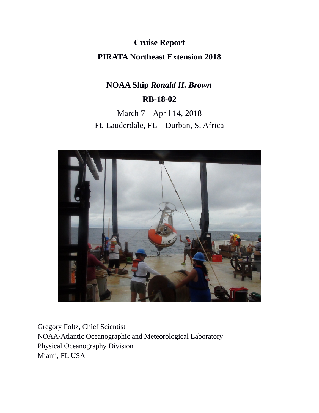**Cruise Report PIRATA Northeast Extension 2018**

# **NOAA Ship** *Ronald H. Brown* **RB-18-02**

March 7 – April 14, 2018 Ft. Lauderdale, FL – Durban, S. Africa



Gregory Foltz, Chief Scientist NOAA/Atlantic Oceanographic and Meteorological Laboratory Physical Oceanography Division Miami, FL USA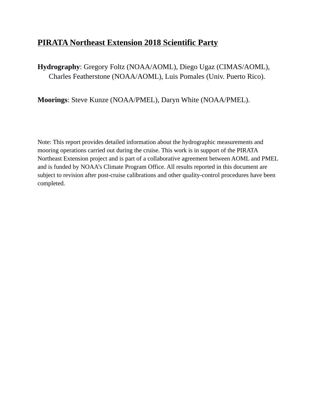## **PIRATA Northeast Extension 2018 Scientific Party**

**Hydrography**: Gregory Foltz (NOAA/AOML), Diego Ugaz (CIMAS/AOML), Charles Featherstone (NOAA/AOML), Luis Pomales (Univ. Puerto Rico).

**Moorings**: Steve Kunze (NOAA/PMEL), Daryn White (NOAA/PMEL).

Note: This report provides detailed information about the hydrographic measurements and mooring operations carried out during the cruise. This work is in support of the PIRATA Northeast Extension project and is part of a collaborative agreement between AOML and PMEL and is funded by NOAA's Climate Program Office. All results reported in this document are subject to revision after post-cruise calibrations and other quality-control procedures have been completed.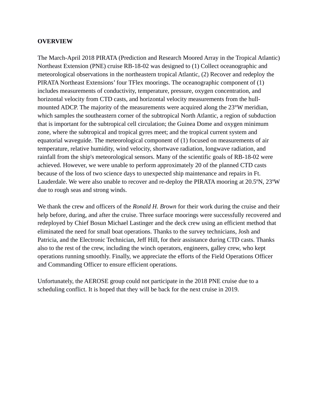#### **OVERVIEW**

The March-April 2018 PIRATA (Prediction and Research Moored Array in the Tropical Atlantic) Northeast Extension (PNE) cruise RB-18-02 was designed to (1) Collect oceanographic and meteorological observations in the northeastern tropical Atlantic, (2) Recover and redeploy the PIRATA Northeast Extensions' four TFlex moorings. The oceanographic component of (1) includes measurements of conductivity, temperature, pressure, oxygen concentration, and horizontal velocity from CTD casts, and horizontal velocity measurements from the hullmounted ADCP. The majority of the measurements were acquired along the 23°W meridian, which samples the southeastern corner of the subtropical North Atlantic, a region of subduction that is important for the subtropical cell circulation; the Guinea Dome and oxygen minimum zone, where the subtropical and tropical gyres meet; and the tropical current system and equatorial waveguide. The meteorological component of (1) focused on measurements of air temperature, relative humidity, wind velocity, shortwave radiation, longwave radiation, and rainfall from the ship's meteorological sensors. Many of the scientific goals of RB-18-02 were achieved. However, we were unable to perform approximately 20 of the planned CTD casts because of the loss of two science days to unexpected ship maintenance and repairs in Ft. Lauderdale. We were also unable to recover and re-deploy the PIRATA mooring at 20.5ºN, 23ºW due to rough seas and strong winds.

We thank the crew and officers of the *Ronald H. Brown* for their work during the cruise and their help before, during, and after the cruise. Three surface moorings were successfully recovered and redeployed by Chief Bosun Michael Lastinger and the deck crew using an efficient method that eliminated the need for small boat operations. Thanks to the survey technicians, Josh and Patricia, and the Electronic Technician, Jeff Hill, for their assistance during CTD casts. Thanks also to the rest of the crew, including the winch operators, engineers, galley crew, who kept operations running smoothly. Finally, we appreciate the efforts of the Field Operations Officer and Commanding Officer to ensure efficient operations.

Unfortunately, the AEROSE group could not participate in the 2018 PNE cruise due to a scheduling conflict. It is hoped that they will be back for the next cruise in 2019.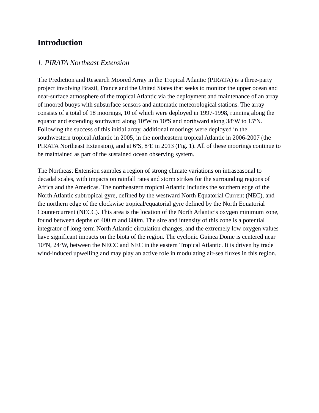## **Introduction**

### *1. PIRATA Northeast Extension*

The Prediction and Research Moored Array in the Tropical Atlantic (PIRATA) is a three-party project involving Brazil, France and the United States that seeks to monitor the upper ocean and near-surface atmosphere of the tropical Atlantic via the deployment and maintenance of an array of moored buoys with subsurface sensors and automatic meteorological stations. The array consists of a total of 18 moorings, 10 of which were deployed in 1997-1998, running along the equator and extending southward along 10ºW to 10ºS and northward along 38ºW to 15ºN. Following the success of this initial array, additional moorings were deployed in the southwestern tropical Atlantic in 2005, in the northeastern tropical Atlantic in 2006-2007 (the PIRATA Northeast Extension), and at 6ºS, 8ºE in 2013 (Fig. 1). All of these moorings continue to be maintained as part of the sustained ocean observing system.

The Northeast Extension samples a region of strong climate variations on intraseasonal to decadal scales, with impacts on rainfall rates and storm strikes for the surrounding regions of Africa and the Americas. The northeastern tropical Atlantic includes the southern edge of the North Atlantic subtropical gyre, defined by the westward North Equatorial Current (NEC), and the northern edge of the clockwise tropical/equatorial gyre defined by the North Equatorial Countercurrent (NECC). This area is the location of the North Atlantic's oxygen minimum zone, found between depths of 400 m and 600m. The size and intensity of this zone is a potential integrator of long-term North Atlantic circulation changes, and the extremely low oxygen values have significant impacts on the biota of the region. The cyclonic Guinea Dome is centered near 10ºN, 24ºW, between the NECC and NEC in the eastern Tropical Atlantic. It is driven by trade wind-induced upwelling and may play an active role in modulating air-sea fluxes in this region.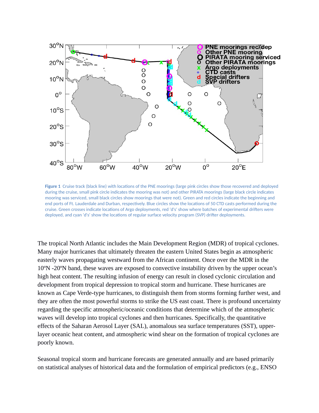

**Figure 1** Cruise track (black line) with locations of the PNE moorings (large pink circles show those recovered and deployed during the cruise, small pink circle indicates the mooring was not) and other PIRATA moorings (large black circle indicates mooring was serviced, small black circles show moorings that were not). Green and red circles indicate the beginning and end ports of Ft. Lauderdale and Durban, respectively. Blue circles show the locations of 50 CTD casts performed during the cruise. Green crosses indicate locations of Argo deployments, red 'd's' show where batches of experimental drifters were deployed, and cyan 'd's' show the locations of regular surface velocity program (SVP) drifter deployments.

The tropical North Atlantic includes the Main Development Region (MDR) of tropical cyclones. Many major hurricanes that ultimately threaten the eastern United States begin as atmospheric easterly waves propagating westward from the African continent. Once over the MDR in the 10ºN -20ºN band, these waves are exposed to convective instability driven by the upper ocean's high heat content. The resulting infusion of energy can result in closed cyclonic circulation and development from tropical depression to tropical storm and hurricane. These hurricanes are known as Cape Verde-type hurricanes, to distinguish them from storms forming further west, and they are often the most powerful storms to strike the US east coast. There is profound uncertainty regarding the specific atmospheric/oceanic conditions that determine which of the atmospheric waves will develop into tropical cyclones and then hurricanes. Specifically, the quantitative effects of the Saharan Aerosol Layer (SAL), anomalous sea surface temperatures (SST), upperlayer oceanic heat content, and atmospheric wind shear on the formation of tropical cyclones are poorly known.

Seasonal tropical storm and hurricane forecasts are generated annually and are based primarily on statistical analyses of historical data and the formulation of empirical predictors (e.g., ENSO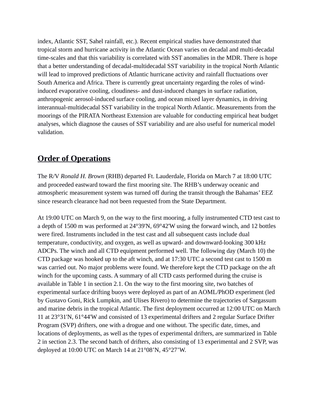index, Atlantic SST, Sahel rainfall, etc.). Recent empirical studies have demonstrated that tropical storm and hurricane activity in the Atlantic Ocean varies on decadal and multi-decadal time-scales and that this variability is correlated with SST anomalies in the MDR. There is hope that a better understanding of decadal-multidecadal SST variability in the tropical North Atlantic will lead to improved predictions of Atlantic hurricane activity and rainfall fluctuations over South America and Africa. There is currently great uncertainty regarding the roles of windinduced evaporative cooling, cloudiness- and dust-induced changes in surface radiation, anthropogenic aerosol-induced surface cooling, and ocean mixed layer dynamics, in driving interannual-multidecadal SST variability in the tropical North Atlantic. Measurements from the moorings of the PIRATA Northeast Extension are valuable for conducting empirical heat budget analyses, which diagnose the causes of SST variability and are also useful for numerical model validation.

## **Order of Operations**

The R/V *Ronald H. Brown* (RHB) departed Ft. Lauderdale, Florida on March 7 at 18:00 UTC and proceeded eastward toward the first mooring site. The RHB's underway oceanic and atmospheric measurement system was turned off during the transit through the Bahamas' EEZ since research clearance had not been requested from the State Department.

At 19:00 UTC on March 9, on the way to the first mooring, a fully instrumented CTD test cast to a depth of 1500 m was performed at 24°39'N, 69°42'W using the forward winch, and 12 bottles were fired. Instruments included in the test cast and all subsequent casts include dual temperature, conductivity, and oxygen, as well as upward- and downward-looking 300 kHz ADCPs. The winch and all CTD equipment performed well. The following day (March 10) the CTD package was hooked up to the aft winch, and at 17:30 UTC a second test cast to 1500 m was carried out. No major problems were found. We therefore kept the CTD package on the aft winch for the upcoming casts. A summary of all CTD casts performed during the cruise is available in Table 1 in section 2.1. On the way to the first mooring site, two batches of experimental surface drifting buoys were deployed as part of an AOML/PhOD experiment (led by Gustavo Goni, Rick Lumpkin, and Ulises Rivero) to determine the trajectories of Sargassum and marine debris in the tropical Atlantic. The first deployment occurred at 12:00 UTC on March 11 at 23°31'N, 61°44'W and consisted of 13 experimental drifters and 2 regular Surface Drifter Program (SVP) drifters, one with a drogue and one without. The specific date, times, and locations of deployments, as well as the types of experimental drifters, are summarized in Table 2 in section 2.3. The second batch of drifters, also consisting of 13 experimental and 2 SVP, was deployed at 10:00 UTC on March 14 at 21°08'N, 45°27'W.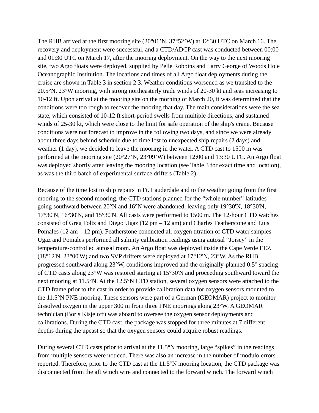The RHB arrived at the first mooring site (20°01'N, 37°52'W) at 12:30 UTC on March 16. The recovery and deployment were successful, and a CTD/ADCP cast was conducted between 00:00 and 01:30 UTC on March 17, after the mooring deployment. On the way to the next mooring site, two Argo floats were deployed, supplied by Pelle Robbins and Larry George of Woods Hole Oceanographic Institution. The locations and times of all Argo float deployments during the cruise are shown in Table 3 in section 2.3. Weather conditions worsened as we transited to the 20.5°N, 23°W mooring, with strong northeasterly trade winds of 20-30 kt and seas increasing to 10-12 ft. Upon arrival at the mooring site on the morning of March 20, it was determined that the conditions were too rough to recover the mooring that day. The main considerations were the sea state, which consisted of 10-12 ft short-period swells from multiple directions, and sustained winds of 25-30 kt, which were close to the limit for safe operation of the ship's crane. Because conditions were not forecast to improve in the following two days, and since we were already about three days behind schedule due to time lost to unexpected ship repairs (2 days) and weather (1 day), we decided to leave the mooring in the water. A CTD cast to 1500 m was performed at the mooring site (20°27'N, 23°09'W) between 12:00 and 13:30 UTC. An Argo float was deployed shortly after leaving the mooring location (see Table 3 for exact time and location), as was the third batch of experimental surface drifters (Table 2).

Because of the time lost to ship repairs in Ft. Lauderdale and to the weather going from the first mooring to the second mooring, the CTD stations planned for the "whole number" latitudes going southward between 20°N and 16°N were abandoned, leaving only 19°30'N, 18°30'N, 17°30'N, 16°30'N, and 15°30'N. All casts were performed to 1500 m. The 12-hour CTD watches consisted of Greg Foltz and Diego Ugaz  $(12 \text{ pm} - 12 \text{ am})$  and Charles Featherstone and Luis Pomales (12 am – 12 pm). Featherstone conducted all oxygen titration of CTD water samples. Ugaz and Pomales performed all salinity calibration readings using autosal "Joisey" in the temperature-controlled autosal room. An Argo float was deployed inside the Cape Verde EEZ (18°12'N, 23°00'W) and two SVP drifters were deployed at 17°12'N, 23°W. As the RHB progressed southward along 23°W, conditions improved and the originally-planned 0.5° spacing of CTD casts along 23°W was restored starting at 15°30'N and proceeding southward toward the next mooring at 11.5°N. At the 12.5°N CTD station, several oxygen sensors were attached to the CTD frame prior to the cast in order to provide calibration data for oxygen sensors mounted to the 11.5°N PNE mooring. These sensors were part of a German (GEOMAR) project to monitor dissolved oxygen in the upper 300 m from three PNE moorings along 23°W. A GEOMAR technician (Boris Kisjeloff) was aboard to oversee the oxygen sensor deployments and calibrations. During the CTD cast, the package was stopped for three minutes at 7 different depths during the upcast so that the oxygen sensors could acquire robust readings.

During several CTD casts prior to arrival at the 11.5°N mooring, large "spikes" in the readings from multiple sensors were noticed. There was also an increase in the number of modulo errors reported. Therefore, prior to the CTD cast at the 11.5°N mooring location, the CTD package was disconnected from the aft winch wire and connected to the forward winch. The forward winch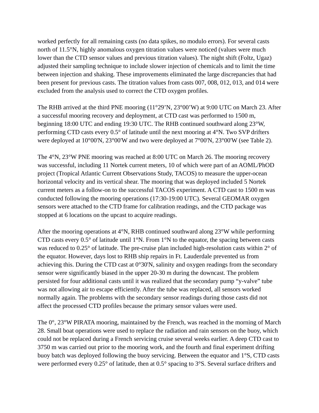worked perfectly for all remaining casts (no data spikes, no modulo errors). For several casts north of 11.5°N, highly anomalous oxygen titration values were noticed (values were much lower than the CTD sensor values and previous titration values). The night shift (Foltz, Ugaz) adjusted their sampling technique to include slower injection of chemicals and to limit the time between injection and shaking. These improvements eliminated the large discrepancies that had been present for previous casts. The titration values from casts 007, 008, 012, 013, and 014 were excluded from the analysis used to correct the CTD oxygen profiles.

The RHB arrived at the third PNE mooring (11°29'N, 23°00'W) at 9:00 UTC on March 23. After a successful mooring recovery and deployment, at CTD cast was performed to 1500 m, beginning 18:00 UTC and ending 19:30 UTC. The RHB continued southward along 23°W, performing CTD casts every 0.5° of latitude until the next mooring at 4°N. Two SVP drifters were deployed at 10°00'N, 23°00'W and two were deployed at 7°00'N, 23°00'W (see Table 2).

The 4°N, 23°W PNE mooring was reached at 8:00 UTC on March 26. The mooring recovery was successful, including 11 Nortek current meters, 10 of which were part of an AOML/PhOD project (Tropical Atlantic Current Observations Study, TACOS) to measure the upper-ocean horizontal velocity and its vertical shear. The mooring that was deployed included 5 Nortek current meters as a follow-on to the successful TACOS experiment. A CTD cast to 1500 m was conducted following the mooring operations (17:30-19:00 UTC). Several GEOMAR oxygen sensors were attached to the CTD frame for calibration readings, and the CTD package was stopped at 6 locations on the upcast to acquire readings.

After the mooring operations at 4°N, RHB continued southward along 23°W while performing CTD casts every  $0.5^{\circ}$  of latitude until 1 $^{\circ}$ N. From 1 $^{\circ}$ N to the equator, the spacing between casts was reduced to 0.25° of latitude. The pre-cruise plan included high-resolution casts within 2° of the equator. However, days lost to RHB ship repairs in Ft. Lauderdale prevented us from achieving this. During the CTD cast at 0°30'N, salinity and oxygen readings from the secondary sensor were significantly biased in the upper 20-30 m during the downcast. The problem persisted for four additional casts until it was realized that the secondary pump "y-valve" tube was not allowing air to escape efficiently. After the tube was replaced, all sensors worked normally again. The problems with the secondary sensor readings during those casts did not affect the processed CTD profiles because the primary sensor values were used.

The 0°, 23°W PIRATA mooring, maintained by the French, was reached in the morning of March 28. Small boat operations were used to replace the radiation and rain sensors on the buoy, which could not be replaced during a French servicing cruise several weeks earlier. A deep CTD cast to 3750 m was carried out prior to the mooring work, and the fourth and final experiment drifting buoy batch was deployed following the buoy servicing. Between the equator and 1°S, CTD casts were performed every 0.25° of latitude, then at 0.5° spacing to 3°S. Several surface drifters and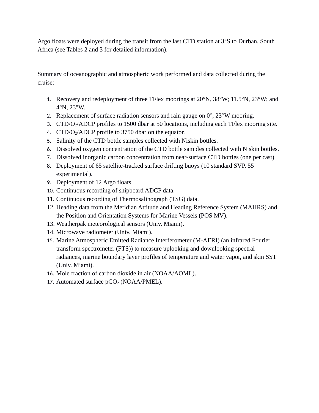Argo floats were deployed during the transit from the last CTD station at 3°S to Durban, South Africa (see Tables 2 and 3 for detailed information).

Summary of oceanographic and atmospheric work performed and data collected during the cruise:

- 1. Recovery and redeployment of three TFlex moorings at 20°N, 38°W; 11.5°N, 23°W; and 4°N, 23°W.
- 2. Replacement of surface radiation sensors and rain gauge on  $0^{\circ}$ , 23°W mooring.
- 3. CTD/O<sub>2</sub>/ADCP profiles to 1500 dbar at 50 locations, including each TFlex mooring site.
- 4. CTD/O2/ADCP profile to 3750 dbar on the equator.
- 5. Salinity of the CTD bottle samples collected with Niskin bottles.
- 6. Dissolved oxygen concentration of the CTD bottle samples collected with Niskin bottles.
- 7. Dissolved inorganic carbon concentration from near-surface CTD bottles (one per cast).
- 8. Deployment of 65 satellite-tracked surface drifting buoys (10 standard SVP, 55 experimental).
- 9. Deployment of 12 Argo floats.
- 10. Continuous recording of shipboard ADCP data.
- 11. Continuous recording of Thermosalinograph (TSG) data.
- 12. Heading data from the Meridian Attitude and Heading Reference System (MAHRS) and the Position and Orientation Systems for Marine Vessels (POS MV).
- 13. Weatherpak meteorological sensors (Univ. Miami).
- 14. Microwave radiometer (Univ. Miami).
- 15. Marine Atmospheric Emitted Radiance Interferometer (M-AERI) (an infrared Fourier transform spectrometer (FTS)) to measure uplooking and downlooking spectral radiances, marine boundary layer profiles of temperature and water vapor, and skin SST (Univ. Miami).
- 16. Mole fraction of carbon dioxide in air (NOAA/AOML).
- 17. Automated surface  $pCO<sub>2</sub>$  (NOAA/PMEL).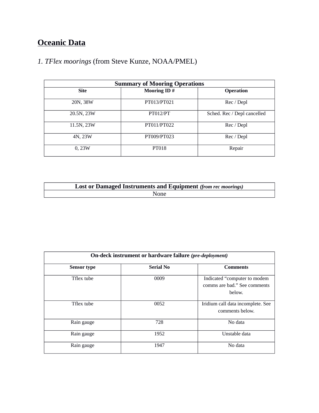# **Oceanic Data**

## *1. TFlex moorings* (from Steve Kunze, NOAA/PMEL)

| <b>Summary of Mooring Operations</b> |                    |                             |  |  |  |
|--------------------------------------|--------------------|-----------------------------|--|--|--|
| <b>Site</b>                          | <b>Mooring ID#</b> | <b>Operation</b>            |  |  |  |
| 20N, 38W                             | PT013/PT021        | Rec / Depl                  |  |  |  |
| 20.5N, 23W                           | <b>PT012/PT</b>    | Sched. Rec / Depl cancelled |  |  |  |
| 11.5N, 23W                           | PT011/PT022        | Rec / Depl                  |  |  |  |
| 4N, 23W                              | PT009/PT023        | Rec / Depl                  |  |  |  |
| 0,23W                                | PT018              | Repair                      |  |  |  |

| <b>Lost or Damaged Instruments and Equipment (from rec moorings)</b> |  |  |  |  |
|----------------------------------------------------------------------|--|--|--|--|
| <b>None</b>                                                          |  |  |  |  |

| On-deck instrument or hardware failure (pre-deployment) |                  |                                                                        |  |  |  |
|---------------------------------------------------------|------------------|------------------------------------------------------------------------|--|--|--|
| <b>Sensor type</b>                                      | <b>Serial No</b> | <b>Comments</b>                                                        |  |  |  |
| Tflex tube                                              | 0009             | Indicated "computer to modem<br>comms are bad." See comments<br>below. |  |  |  |
| Tflex tube                                              | 0052             | Iridium call data incomplete. See<br>comments below.                   |  |  |  |
| Rain gauge                                              | 728              | No data                                                                |  |  |  |
| Rain gauge                                              | 1952             | Unstable data                                                          |  |  |  |
| Rain gauge                                              | 1947             | No data                                                                |  |  |  |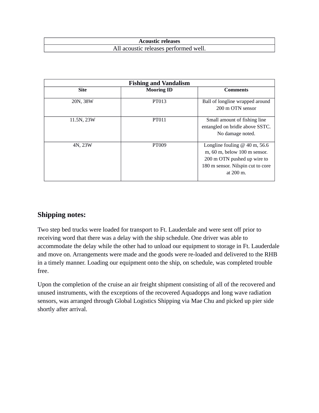| <b>Acoustic releases</b>              |
|---------------------------------------|
| All acoustic releases performed well. |

| <b>Fishing and Vandalism</b> |                   |                                                                                                                                                             |  |  |  |
|------------------------------|-------------------|-------------------------------------------------------------------------------------------------------------------------------------------------------------|--|--|--|
| <b>Site</b>                  | <b>Mooring ID</b> | Comments                                                                                                                                                    |  |  |  |
| 20N, 38W                     | PT013             | Ball of longline wrapped around<br>200 m OTN sensor                                                                                                         |  |  |  |
| 11.5N, 23W                   | <b>PT011</b>      | Small amount of fishing line<br>entangled on bridle above SSTC.<br>No damage noted.                                                                         |  |  |  |
| 4N, 23W                      | PT009             | Longline fouling $@$ 40 m, 56.6<br>m, 60 m, below 100 m sensor.<br>200 m OTN pushed up wire to<br>180 m sensor. Nilspin cut to core<br>at $200 \text{ m}$ . |  |  |  |

## **Shipping notes:**

Two step bed trucks were loaded for transport to Ft. Lauderdale and were sent off prior to receiving word that there was a delay with the ship schedule. One driver was able to accommodate the delay while the other had to unload our equipment to storage in Ft. Lauderdale and move on. Arrangements were made and the goods were re-loaded and delivered to the RHB in a timely manner. Loading our equipment onto the ship, on schedule, was completed trouble free.

Upon the completion of the cruise an air freight shipment consisting of all of the recovered and unused instruments, with the exceptions of the recovered Aquadopps and long wave radiation sensors, was arranged through Global Logistics Shipping via Mae Chu and picked up pier side shortly after arrival.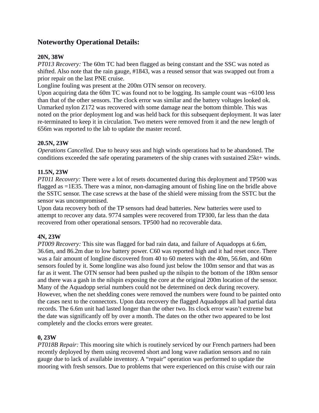## **Noteworthy Operational Details:**

#### **20N, 38W**

*PT013 Recovery:* The 60m TC had been flagged as being constant and the SSC was noted as shifted. Also note that the rain gauge, #1843, was a reused sensor that was swapped out from a prior repair on the last PNE cruise.

Longline fouling was present at the 200m OTN sensor on recovery.

Upon acquiring data the 60m TC was found not to be logging. Its sample count was  $\sim$  6100 less than that of the other sensors. The clock error was similar and the battery voltages looked ok. Unmarked nylon Z172 was recovered with some damage near the bottom thimble. This was noted on the prior deployment log and was held back for this subsequent deployment. It was later re-terminated to keep it in circulation. Two meters were removed from it and the new length of 656m was reported to the lab to update the master record.

#### **20.5N, 23W**

*Operations Cancelled.* Due to heavy seas and high winds operations had to be abandoned. The conditions exceeded the safe operating parameters of the ship cranes with sustained 25kt+ winds.

#### **11.5N, 23W**

*PT011 Recovery:* There were a lot of resets documented during this deployment and TP500 was flagged as =1E35. There was a minor, non-damaging amount of fishing line on the bridle above the SSTC sensor. The case screws at the base of the shield were missing from the SSTC but the sensor was uncompromised.

Upon data recovery both of the TP sensors had dead batteries. New batteries were used to attempt to recover any data. 9774 samples were recovered from TP300, far less than the data recovered from other operational sensors. TP500 had no recoverable data.

#### **4N, 23W**

*PT009 Recovery:* This site was flagged for bad rain data, and failure of Aquadopps at 6.6m, 36.6m, and 86.2m due to low battery power. C60 was reported high and it had reset once. There was a fair amount of longline discovered from 40 to 60 meters with the 40m, 56.6m, and 60m sensors fouled by it. Some longline was also found just below the 100m sensor and that was as far as it went. The OTN sensor had been pushed up the nilspin to the bottom of the 180m sensor and there was a gash in the nilspin exposing the core at the original 200m location of the sensor. Many of the Aquadopp serial numbers could not be determined on deck during recovery. However, when the net shedding cones were removed the numbers were found to be painted onto the cases next to the connectors. Upon data recovery the flagged Aquadopps all had partial data records. The 6.6m unit had lasted longer than the other two. Its clock error wasn't extreme but the date was significantly off by over a month. The dates on the other two appeared to be lost completely and the clocks errors were greater.

### **0, 23W**

*PT018B Repair:* This mooring site which is routinely serviced by our French partners had been recently deployed by them using recovered short and long wave radiation sensors and no rain gauge due to lack of available inventory. A "repair" operation was performed to update the mooring with fresh sensors. Due to problems that were experienced on this cruise with our rain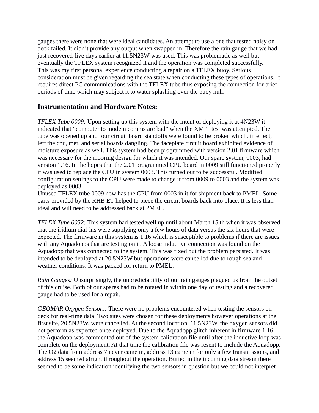gauges there were none that were ideal candidates. An attempt to use a one that tested noisy on deck failed. It didn't provide any output when swapped in. Therefore the rain gauge that we had just recovered five days earlier at 11.5N23W was used. This was problematic as well but eventually the TFLEX system recognized it and the operation was completed successfully. This was my first personal experience conducting a repair on a TFLEX buoy. Serious consideration must be given regarding the sea state when conducting these types of operations. It requires direct PC communications with the TFLEX tube thus exposing the connection for brief periods of time which may subject it to water splashing over the buoy hull.

### **Instrumentation and Hardware Notes:**

*TFLEX Tube 0009:* Upon setting up this system with the intent of deploying it at 4N23W it indicated that "computer to modem comms are bad" when the XMIT test was attempted. The tube was opened up and four circuit board standoffs were found to be broken which, in effect, left the cpu, met, and serial boards dangling. The faceplate circuit board exhibited evidence of moisture exposure as well. This system had been programmed with version 2.01 firmware which was necessary for the mooring design for which it was intended. Our spare system, 0003, had version 1.16. In the hopes that the 2.01 programmed CPU board in 0009 still functioned properly it was used to replace the CPU in system 0003. This turned out to be successful. Modified configuration settings to the CPU were made to change it from 0009 to 0003 and the system was deployed as 0003.

Unused TFLEX tube 0009 now has the CPU from 0003 in it for shipment back to PMEL. Some parts provided by the RHB ET helped to piece the circuit boards back into place. It is less than ideal and will need to be addressed back at PMEL.

*TFLEX Tube 0052:* This system had tested well up until about March 15 th when it was observed that the iridium dial-ins were supplying only a few hours of data versus the six hours that were expected. The firmware in this system is 1.16 which is susceptible to problems if there are issues with any Aquadopps that are testing on it. A loose inductive connection was found on the Aquadopp that was connected to the system. This was fixed but the problem persisted. It was intended to be deployed at 20.5N23W but operations were cancelled due to rough sea and weather conditions. It was packed for return to PMEL.

*Rain Gauges:* Unsurprisingly, the unpredictability of our rain gauges plagued us from the outset of this cruise. Both of our spares had to be rotated in within one day of testing and a recovered gauge had to be used for a repair.

*GEOMAR Oxygen Sensors:* There were no problems encountered when testing the sensors on deck for real-time data. Two sites were chosen for these deployments however operations at the first site, 20.5N23W, were cancelled. At the second location, 11.5N23W, the oxygen sensors did not perform as expected once deployed. Due to the Aquadopp glitch inherent in firmware 1.16, the Aquadopp was commented out of the system calibration file until after the inductive loop was complete on the deployment. At that time the calibration file was resent to include the Aquadopp. The O2 data from address 7 never came in, address 13 came in for only a few transmissions, and address 15 seemed alright throughout the operation. Buried in the incoming data stream there seemed to be some indication identifying the two sensors in question but we could not interpret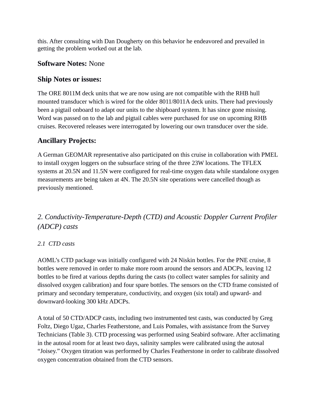this. After consulting with Dan Dougherty on this behavior he endeavored and prevailed in getting the problem worked out at the lab.

## **Software Notes:** None

## **Ship Notes or issues:**

The ORE 8011M deck units that we are now using are not compatible with the RHB hull mounted transducer which is wired for the older 8011/8011A deck units. There had previously been a pigtail onboard to adapt our units to the shipboard system. It has since gone missing. Word was passed on to the lab and pigtail cables were purchased for use on upcoming RHB cruises. Recovered releases were interrogated by lowering our own transducer over the side.

## **Ancillary Projects:**

A German GEOMAR representative also participated on this cruise in collaboration with PMEL to install oxygen loggers on the subsurface string of the three 23W locations. The TFLEX systems at 20.5N and 11.5N were configured for real-time oxygen data while standalone oxygen measurements are being taken at 4N. The 20.5N site operations were cancelled though as previously mentioned.

## *2. Conductivity-Temperature-Depth (CTD) and Acoustic Doppler Current Profiler (ADCP) casts*

## *2.1 CTD casts*

AOML's CTD package was initially configured with 24 Niskin bottles. For the PNE cruise, 8 bottles were removed in order to make more room around the sensors and ADCPs, leaving 12 bottles to be fired at various depths during the casts (to collect water samples for salinity and dissolved oxygen calibration) and four spare bottles. The sensors on the CTD frame consisted of primary and secondary temperature, conductivity, and oxygen (six total) and upward- and downward-looking 300 kHz ADCPs.

A total of 50 CTD/ADCP casts, including two instrumented test casts, was conducted by Greg Foltz, Diego Ugaz, Charles Featherstone, and Luis Pomales, with assistance from the Survey Technicians (Table 3). CTD processing was performed using Seabird software. After acclimating in the autosal room for at least two days, salinity samples were calibrated using the autosal "Joisey." Oxygen titration was performed by Charles Featherstone in order to calibrate dissolved oxygen concentration obtained from the CTD sensors.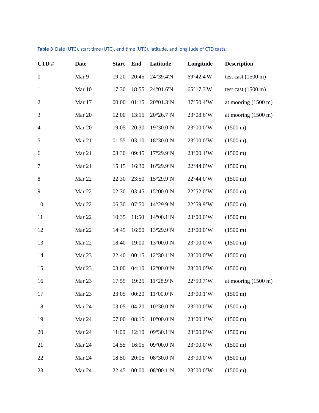| CTD#             | <b>Date</b> | <b>Start</b> | End   | Latitude                   | Longitude | <b>Description</b>            |
|------------------|-------------|--------------|-------|----------------------------|-----------|-------------------------------|
| $\boldsymbol{0}$ | Mar 9       | 19:20        | 20:45 | 24°39.4'N                  | 69°42.4'W | test cast $(1500 \text{ m})$  |
| $\mathbf{1}$     | Mar 10      | 17:30        | 18:55 | 24°01.6'N                  | 65°17.3'W | test cast $(1500 \text{ m})$  |
| $\overline{2}$   | Mar 17      | 00:00        | 01:15 | 20°01.3'N                  | 37°50.4'W | at mooring $(1500 \text{ m})$ |
| 3                | Mar 20      | 12:00        | 13:15 | 20°26.7'N                  | 23°08.6'W | at mooring $(1500 \text{ m})$ |
| $\overline{4}$   | Mar 20      | 19:05        | 20:30 | 19°30.0'N                  | 23°00.0'W | $(1500 \text{ m})$            |
| 5                | Mar 21      | 01:55        | 03:10 | 18°30.0'N                  | 23°00.0'W | $(1500 \text{ m})$            |
| 6                | Mar 21      | 08:30        | 09:45 | 17°29.9'N                  | 23°00.1'W | $(1500 \text{ m})$            |
| $\overline{7}$   | Mar 21      | 15:15        | 16:30 | 16°29.9'N                  | 22°44.0'W | $(1500 \text{ m})$            |
| $\, 8$           | Mar 22      | 22:30        | 23:50 | 15°29.9'N                  | 22°44.0'W | $(1500 \text{ m})$            |
| $\boldsymbol{9}$ | Mar 22      | 02:30        | 03:45 | 15°00.0'N                  | 22°52.0'W | $(1500 \text{ m})$            |
| 10               | Mar 22      | 06:30        | 07:50 | 14°29.9'N                  | 22°59.9'W | $(1500 \text{ m})$            |
| $11\,$           | Mar 22      | 10:35        | 11:50 | 14°00.1'N                  | 23°00.0'W | $(1500 \text{ m})$            |
| 12               | Mar 22      | 14:45        | 16:00 | 13°29.9'N                  | 23°00.0'W | $(1500 \text{ m})$            |
| 13               | Mar 22      | 18:40        | 19:00 | 13°00.0'N                  | 23°00.0'W | $(1500 \text{ m})$            |
| 14               | Mar 23      | 22:40        | 00:15 | 12°30.1'N                  | 23°00.0'W | $(1500 \text{ m})$            |
| 15               | Mar 23      | 03:00        | 04:10 | 12°00.0'N                  | 23°00.0'W | $(1500 \text{ m})$            |
| 16               | Mar 23      | 17:55        | 19:25 | 11°28.9'N                  | 22°59.7'W | at mooring $(1500 \text{ m})$ |
| 17               | Mar 23      | 23:05        | 00:20 | $11^{\circ}00.0^{\prime}N$ | 23°00.1'W | $(1500 \text{ m})$            |
| 18               | Mar 24      | 03:05        | 04:20 | 10°30.0'N                  | 23°00.0'W | $(1500 \text{ m})$            |
| 19               | Mar 24      | 07:00        | 08:15 | 10°00.0'N                  | 23°00.1'W | $(1500 \text{ m})$            |
| 20               | Mar 24      | 11:00        | 12:10 | 09°30.1'N                  | 23°00.0'W | $(1500 \text{ m})$            |
| 21               | Mar 24      | 14:55        | 16:05 | 09°00.0'N                  | 23°00.0'W | $(1500 \text{ m})$            |
| 22               | Mar 24      | 18:50        | 20:05 | 08°30.0'N                  | 23°00.0'W | $(1500 \text{ m})$            |
| 23               | Mar 24      | 22:45        | 00:00 | 08°00.1'N                  | 23°00.0'W | $(1500 \text{ m})$            |

#### **Table 3** Date (UTC), start time (UTC), end time (UTC), latitude, and longitude of CTD casts.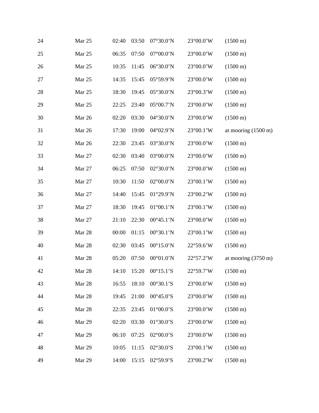| 24 | Mar 25 | 02:40 | 03:50 | 07°30.0'N                  | 23°00.0'W | $(1500 \text{ m})$            |
|----|--------|-------|-------|----------------------------|-----------|-------------------------------|
| 25 | Mar 25 | 06:35 | 07:50 | 07°00.0'N                  | 23°00.0'W | $(1500 \text{ m})$            |
| 26 | Mar 25 | 10:35 | 11:45 | 06°30.0'N                  | 23°00.0'W | $(1500 \text{ m})$            |
| 27 | Mar 25 | 14:35 | 15:45 | 05°59.9'N                  | 23°00.0'W | $(1500 \text{ m})$            |
| 28 | Mar 25 | 18:30 | 19:45 | 05°30.0'N                  | 23°00.3'W | $(1500 \text{ m})$            |
| 29 | Mar 25 | 22:25 | 23:40 | 05°00.7'N                  | 23°00.0'W | $(1500 \text{ m})$            |
| 30 | Mar 26 | 02:20 | 03:30 | 04°30.0'N                  | 23°00.0'W | $(1500 \text{ m})$            |
| 31 | Mar 26 | 17:30 | 19:00 | 04°02.9'N                  | 23°00.1'W | at mooring $(1500 \text{ m})$ |
| 32 | Mar 26 | 22:30 | 23:45 | 03°30.0'N                  | 23°00.0'W | $(1500 \text{ m})$            |
| 33 | Mar 27 | 02:30 | 03:40 | 03°00.0'N                  | 23°00.0'W | $(1500 \text{ m})$            |
| 34 | Mar 27 | 06:25 | 07:50 | 02°30.0'N                  | 23°00.0'W | $(1500 \text{ m})$            |
| 35 | Mar 27 | 10:30 | 11:50 | 02°00.0'N                  | 23°00.1'W | $(1500 \text{ m})$            |
| 36 | Mar 27 | 14:40 | 15:45 | 01°29.9'N                  | 23°00.2'W | $(1500 \text{ m})$            |
| 37 | Mar 27 | 18:30 | 19:45 | $01^{\circ}00.1^{\prime}N$ | 23°00.1'W | $(1500 \text{ m})$            |
| 38 | Mar 27 | 21:10 | 22:30 | 00°45.1'N                  | 23°00.0'W | $(1500 \text{ m})$            |
| 39 | Mar 28 | 00:00 | 01:15 | 00°30.1'N                  | 23°00.1'W | $(1500 \text{ m})$            |
| 40 | Mar 28 | 02:30 | 03:45 | $00^{\circ}15.0^{\prime}N$ | 22°59.6'W | $(1500 \text{ m})$            |
| 41 | Mar 28 | 05:20 | 07:50 | $00^{\circ}01.0^{\prime}N$ | 22°57.2'W | at mooring $(3750 \text{ m})$ |
| 42 | Mar 28 |       |       | 14:10  15:20  00°15.1'S    | 22°59.7'W | $(1500 \text{ m})$            |
| 43 | Mar 28 | 16:55 | 18:10 | 00°30.1'S                  | 23°00.0'W | $(1500 \text{ m})$            |
| 44 | Mar 28 | 19:45 | 21:00 | $00^{\circ}45.0^{\prime}S$ | 23°00.0'W | $(1500 \text{ m})$            |
| 45 | Mar 28 | 22:35 | 23:45 | $01^{\circ}00.0$ 'S        | 23°00.0'W | $(1500 \text{ m})$            |
| 46 | Mar 29 | 02:20 | 03:30 | $01^{\circ}30.0^{\prime}S$ | 23°00.0'W | $(1500 \text{ m})$            |
| 47 | Mar 29 | 06:10 | 07:25 | $02^{\circ}00.0$ 'S        | 23°00.0'W | $(1500 \text{ m})$            |
| 48 | Mar 29 | 10:05 | 11:15 | 02°30.0'S                  | 23°00.1'W | $(1500 \text{ m})$            |
| 49 | Mar 29 | 14:00 | 15:15 | 02°59.9'S                  | 23°00.2'W | $(1500 \text{ m})$            |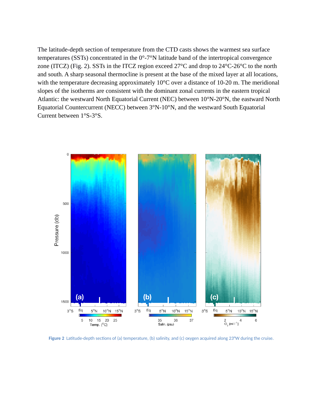The latitude-depth section of temperature from the CTD casts shows the warmest sea surface temperatures (SSTs) concentrated in the 0°-7°N latitude band of the intertropical convergence zone (ITCZ) (Fig. 2). SSTs in the ITCZ region exceed 27°C and drop to 24°C-26°C to the north and south. A sharp seasonal thermocline is present at the base of the mixed layer at all locations, with the temperature decreasing approximately 10°C over a distance of 10-20 m. The meridional slopes of the isotherms are consistent with the dominant zonal currents in the eastern tropical Atlantic: the westward North Equatorial Current (NEC) between 10°N-20°N, the eastward North Equatorial Countercurrent (NECC) between 3°N-10°N, and the westward South Equatorial Current between 1°S-3°S.



**Figure 2** Latitude-depth sections of (a) temperature, (b) salinity, and (c) oxygen acquired along 23°W during the cruise.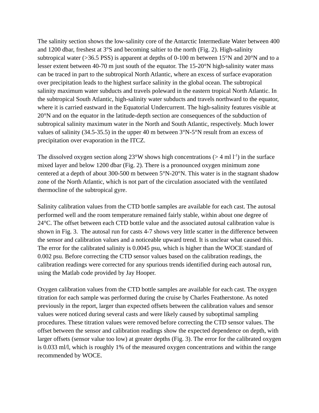The salinity section shows the low-salinity core of the Antarctic Intermediate Water between 400 and 1200 dbar, freshest at 3°S and becoming saltier to the north (Fig. 2). High-salinity subtropical water ( $>$ 36.5 PSS) is apparent at depths of 0-100 m between 15 $\degree$ N and 20 $\degree$ N and to a lesser extent between 40-70 m just south of the equator. The 15-20°N high-salinity water mass can be traced in part to the subtropical North Atlantic, where an excess of surface evaporation over precipitation leads to the highest surface salinity in the global ocean. The subtropical salinity maximum water subducts and travels poleward in the eastern tropical North Atlantic. In the subtropical South Atlantic, high-salinity water subducts and travels northward to the equator, where it is carried eastward in the Equatorial Undercurrent. The high-salinity features visible at 20°N and on the equator in the latitude-depth section are consequences of the subduction of subtropical salinity maximum water in the North and South Atlantic, respectively. Much lower values of salinity (34.5-35.5) in the upper 40 m between 3°N-5°N result from an excess of precipitation over evaporation in the ITCZ.

The dissolved oxygen section along 23°W shows high concentrations ( $>$  4 ml  $1<sup>-1</sup>$ ) in the surface mixed layer and below 1200 dbar (Fig. 2). There is a pronounced oxygen minimum zone centered at a depth of about 300-500 m between 5°N-20°N. This water is in the stagnant shadow zone of the North Atlantic, which is not part of the circulation associated with the ventilated thermocline of the subtropical gyre.

Salinity calibration values from the CTD bottle samples are available for each cast. The autosal performed well and the room temperature remained fairly stable, within about one degree of 24°C. The offset between each CTD bottle value and the associated autosal calibration value is shown in Fig. 3. The autosal run for casts 4-7 shows very little scatter in the difference between the sensor and calibration values and a noticeable upward trend. It is unclear what caused this. The error for the calibrated salinity is 0.0045 psu, which is higher than the WOCE standard of 0.002 psu. Before correcting the CTD sensor values based on the calibration readings, the calibration readings were corrected for any spurious trends identified during each autosal run, using the Matlab code provided by Jay Hooper.

Oxygen calibration values from the CTD bottle samples are available for each cast. The oxygen titration for each sample was performed during the cruise by Charles Featherstone. As noted previously in the report, larger than expected offsets between the calibration values and sensor values were noticed during several casts and were likely caused by suboptimal sampling procedures. These titration values were removed before correcting the CTD sensor values. The offset between the sensor and calibration readings show the expected dependence on depth, with larger offsets (sensor value too low) at greater depths (Fig. 3). The error for the calibrated oxygen is 0.033 ml/l, which is roughly 1% of the measured oxygen concentrations and within the range recommended by WOCE.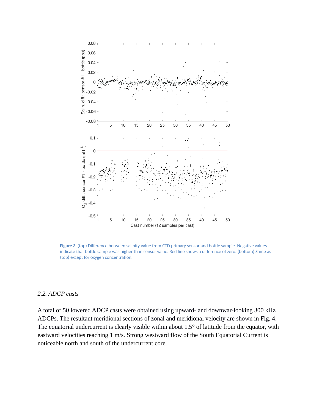

**Figure 3** (top) Difference between salinity value from CTD primary sensor and bottle sample. Negative values indicate that bottle sample was higher than sensor value. Red line shows a difference of zero. (bottom) Same as (top) except for oxygen concentration.

#### *2.2. ADCP casts*

A total of 50 lowered ADCP casts were obtained using upward- and downwar-looking 300 kHz ADCPs. The resultant meridional sections of zonal and meridional velocity are shown in Fig. 4. The equatorial undercurrent is clearly visible within about 1.5° of latitude from the equator, with eastward velocities reaching 1 m/s. Strong westward flow of the South Equatorial Current is noticeable north and south of the undercurrent core.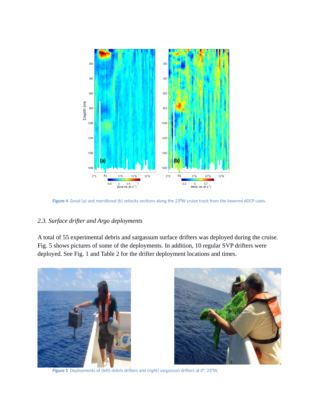

**Figure 4** Zonal (a) and meridional (b) velocity sections along the 23**°**W cruise track from the lowered ADCP casts.

#### *2.3. Surface drifter and Argo deployments*

A total of 55 experimental debris and sargassum surface drifters was deployed during the cruise. Fig. 5 shows pictures of some of the deployments. In addition, 10 regular SVP drifters were deployed. See Fig. 1 and Table 2 for the drifter deployment locations and times.





**Figure 5** Deployments of (left) debris drifters and (right) sargassum drifters at 0°, 23°W.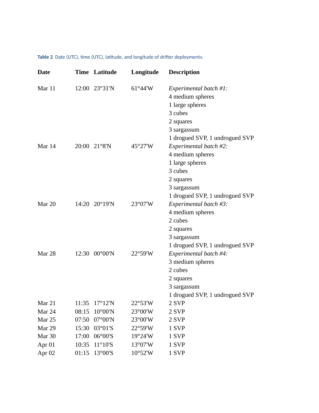**Table 2** Date (UTC), time (UTC), latitude, and longitude of drifter deployments.

| <b>Date</b>       |       | <b>Time Latitude</b>      | Longitude | <b>Description</b>                                                                                                                                    |
|-------------------|-------|---------------------------|-----------|-------------------------------------------------------------------------------------------------------------------------------------------------------|
| Mar 11            |       | 12:00 23°31'N             | 61°44'W   | Experimental batch #1:<br>4 medium spheres<br>1 large spheres<br>3 cubes<br>2 squares<br>3 sargassum                                                  |
| Mar 14            |       | 20:00 21°8'N              | 45°27'W   | 1 drogued SVP, 1 undrogued SVP<br>Experimental batch #2:<br>4 medium spheres<br>1 large spheres<br>3 cubes<br>2 squares<br>3 sargassum                |
| Mar 20            |       | 14:20 20°19'N             | 23°07'W   | 1 drogued SVP, 1 undrogued SVP<br>Experimental batch #3:<br>4 medium spheres<br>2 cubes<br>2 squares<br>3 sargassum<br>1 drogued SVP, 1 undrogued SVP |
| Mar 28            | 12:30 | $00^{\circ}00^{\prime}$ N | 22°59'W   | Experimental batch #4:<br>3 medium spheres<br>2 cubes<br>2 squares<br>3 sargassum<br>1 drogued SVP, 1 undrogued SVP                                   |
| Mar 21            | 11:35 | 17°12'N                   | 22°53'W   | 2 SVP                                                                                                                                                 |
| Mar 24            | 08:15 | $10^{\circ}00^{\prime}N$  | 23°00'W   | 2 SVP                                                                                                                                                 |
| Mar 25            | 07:50 | $07^{\circ}00'$ N         | 23°00'W   | 2 SVP                                                                                                                                                 |
| Mar 29            | 15:30 | 03°01'S                   | 22°59'W   | 1 SVP                                                                                                                                                 |
| Mar 30            | 17:00 | 06°00'S                   | 19°24'W   | 1 SVP                                                                                                                                                 |
| Apr <sub>01</sub> | 10:35 | $11^{\circ}10'S$          | 13°07'W   | 1 SVP                                                                                                                                                 |
| Apr <sub>02</sub> | 01:15 | 13°00'S                   | 10°52'W   | 1 SVP                                                                                                                                                 |